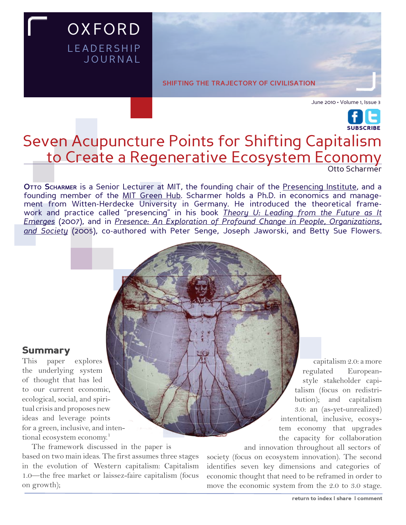**shifting the trajectory of civilisation**

June 2010 • Volume 1, Issue 3

# Otto Scharmer Seven Acupuncture Points for Shifting Capitalism to Create a Regenerative Ecosystem Economy [SUBSCRIBE](http://www.oxfordleadership.com/journal/subscribe/subscribe.html)

**Otto Scharmer** is a Senior Lecturer at MIT, the founding chair of the [Presencing Institute,](http://www.presencing.com) and a founding member of the [MIT Green Hub.](http://www.amazon.com/gp/product/0385516304?ie=UTF8&tag=oxforleadeaca-20&linkCode=as2&camp=1789&creative=9325&creativeASIN=0385516304) Scharmer holds a Ph.D. in economics and management from Witten-Herdecke University in Germany. He introduced the theoretical framework and practice called "presencing" in his book *[Theory U: Leading from the Future as It](http://www.amazon.com/gp/product/0385516304?ie=UTF8&tag=oxforleadeaca-20&linkCode=as2&camp=1789&creative=9325&creativeASIN=0385516304) [Emerges](http://www.amazon.com/gp/product/0385516304?ie=UTF8&tag=oxforleadeaca-20&linkCode=as2&camp=1789&creative=9325&creativeASIN=0385516304)* (2007), and in *[Presence: An Exploration of Profound Change in People, Organizations,](http://www.amazon.com/gp/product/0385516304?ie=UTF8&tag=oxforleadeaca-20&linkCode=as2&camp=1789&creative=9325&creativeASIN=0385516304)  [and Society](http://www.amazon.com/gp/product/0385516304?ie=UTF8&tag=oxforleadeaca-20&linkCode=as2&camp=1789&creative=9325&creativeASIN=0385516304)* (2005), co-authored with Peter Senge, Joseph Jaworski, and Betty Sue Flowers.

## Summary

This paper explores the underlying system of thought that has led to our current economic, ecological, social, and spiritual crisis and proposes new ideas and leverage points for a green, inclusive, and intentional ecosystem economy.<sup>1</sup>

The framework discussed in the paper is based on two main ideas. The first assumes three stages in the evolution of Western capitalism: Capitalism 1.0—the free market or laissez-faire capitalism (focus on growth);

**OXFORD** 

**LEADERSHIP** 

**JOURNAL** 

 capitalism 2.0: a more regulated Europeanstyle stakeholder capitalism (focus on redistribution); and capitalism 3.0: an (as-yet-unrealized) intentional, inclusive, ecosystem economy that upgrades the capacity for collaboration

and innovation throughout all sectors of

society (focus on ecosystem innovation). The second identifies seven key dimensions and categories of economic thought that need to be reframed in order to move the economic system from the 2.0 to 3.0 stage.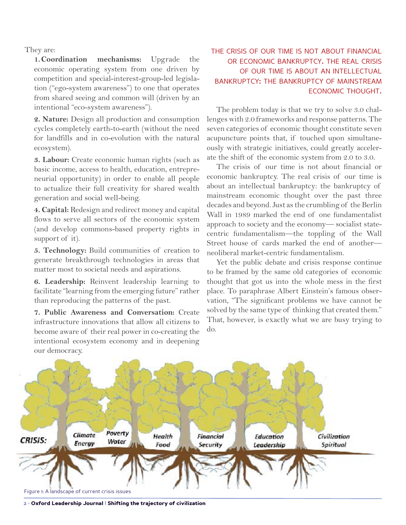They are:

**1. Coordination mechanisms:** Upgrade the economic operating system from one driven by competition and special-interest-group-led legislation ("ego-system awareness") to one that operates from shared seeing and common will (driven by an intentional "eco-system awareness").

**2. Nature:** Design all production and consumption cycles completely earth-to-earth (without the need for landfills and in co-evolution with the natural ecosystem).

**3. Labour:** Create economic human rights (such as basic income, access to health, education, entrepreneurial opportunity) in order to enable all people to actualize their full creativity for shared wealth generation and social well-being.

**4. Capital:** Redesign and redirect money and capital flows to serve all sectors of the economic system (and develop commons-based property rights in support of it).

**5. Technology:** Build communities of creation to generate breakthrough technologies in areas that matter most to societal needs and aspirations.

**6. Leadership:** Reinvent leadership learning to facilitate "learning from the emerging future" rather than reproducing the patterns of the past.

**7. Public Awareness and Conversation:** Create infrastructure innovations that allow all citizens to become aware of their real power in co-creating the intentional ecosystem economy and in deepening our democracy.

## the crisis of our time is not about financial or economic bankruptcy. the real crisis of our time is about an intellectual bankruptcy: the bankruptcy of mainstream economic thought.

The problem today is that we try to solve 3.0 challenges with 2.0 frameworks and response patterns. The seven categories of economic thought constitute seven acupuncture points that, if touched upon simultaneously with strategic initiatives, could greatly accelerate the shift of the economic system from 2.0 to 3.0.

The crisis of our time is not about financial or economic bankruptcy. The real crisis of our time is about an intellectual bankruptcy: the bankruptcy of mainstream economic thought over the past three decades and beyond. Just as the crumbling of the Berlin Wall in 1989 marked the end of one fundamentalist approach to society and the economy— socialist statecentric fundamentalism—the toppling of the Wall Street house of cards marked the end of another neoliberal market-centric fundamentalism.

Yet the public debate and crisis response continue to be framed by the same old categories of economic thought that got us into the whole mess in the first place. To paraphrase Albert Einstein's famous observation, "The significant problems we have cannot be solved by the same type of thinking that created them." That, however, is exactly what we are busy trying to do.



• Oxford Leadership Journal | Shifting the trajectory of civilization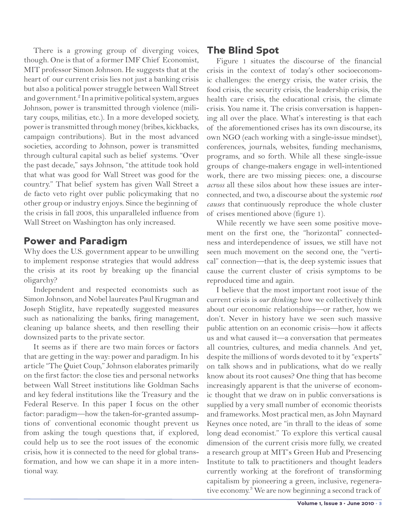There is a growing group of diverging voices, though. One is that of a former IMF Chief Economist, MIT professor Simon Johnson. He suggests that at the heart of our current crisis lies not just a banking crisis but also a political power struggle between Wall Street and government.<sup>2</sup> In a primitive political system, argues Johnson, power is transmitted through violence (military coups, militias, etc.). In a more developed society, power is transmitted through money (bribes, kickbacks, campaign contributions). But in the most advanced societies, according to Johnson, power is transmitted through cultural capital such as belief systems. "Over the past decade," says Johnson, "the attitude took hold that what was good for Wall Street was good for the country." That belief system has given Wall Street a de facto veto right over public policymaking that no other group or industry enjoys. Since the beginning of the crisis in fall 2008, this unparalleled influence from Wall Street on Washington has only increased.

## Power and Paradigm

Why does the U.S. government appear to be unwilling to implement response strategies that would address the crisis at its root by breaking up the financial oligarchy?

Independent and respected economists such as Simon Johnson, and Nobel laureates Paul Krugman and Joseph Stiglitz, have repeatedly suggested measures such as nationalizing the banks, firing management, cleaning up balance sheets, and then reselling their downsized parts to the private sector.

It seems as if there are two main forces or factors that are getting in the way: power and paradigm. In his article "The Quiet Coup," Johnson elaborates primarily on the first factor: the close ties and personal networks between Wall Street institutions like Goldman Sachs and key federal institutions like the Treasury and the Federal Reserve. In this paper I focus on the other factor: paradigm—how the taken-for-granted assumptions of conventional economic thought prevent us from asking the tough questions that, if explored, could help us to see the root issues of the economic crisis, how it is connected to the need for global transformation, and how we can shape it in a more intentional way.

## The Blind Spot

Figure 1 situates the discourse of the financial crisis in the context of today's other socioeconomic challenges: the energy crisis, the water crisis, the food crisis, the security crisis, the leadership crisis, the health care crisis, the educational crisis, the climate crisis. You name it. The crisis conversation is happening all over the place. What's interesting is that each of the aforementioned crises has its own discourse, its own NGO (each working with a single-issue mindset), conferences, journals, websites, funding mechanisms, programs, and so forth. While all these single-issue groups of change-makers engage in well-intentioned work, there are two missing pieces: one, a discourse *across* all these silos about how these issues are interconnected, and two, a discourse about the systemic *root causes* that continuously reproduce the whole cluster of crises mentioned above (figure 1).

While recently we have seen some positive movement on the first one, the "horizontal" connectedness and interdependence of issues, we still have not seen much movement on the second one, the "vertical" connection—that is, the deep systemic issues that cause the current cluster of crisis symptoms to be reproduced time and again.

I believe that the most important root issue of the current crisis is *our thinking:* how we collectively think about our economic relationships—or rather, how we don't. Never in history have we seen such massive public attention on an economic crisis—how it affects us and what caused it—a conversation that permeates all countries, cultures, and media channels. And yet, despite the millions of words devoted to it by "experts" on talk shows and in publications, what do we really know about its root causes? One thing that has become increasingly apparent is that the universe of economic thought that we draw on in public conversations is supplied by a very small number of economic theorists and frameworks. Most practical men, as John Maynard Keynes once noted, are "in thrall to the ideas of some long dead economist." To explore this vertical causal dimension of the current crisis more fully, we created a research group at MIT's Green Hub and Presencing Institute to talk to practitioners and thought leaders currently working at the forefront of transforming capitalism by pioneering a green, inclusive, regenerative economy.3 We are now beginning a second track of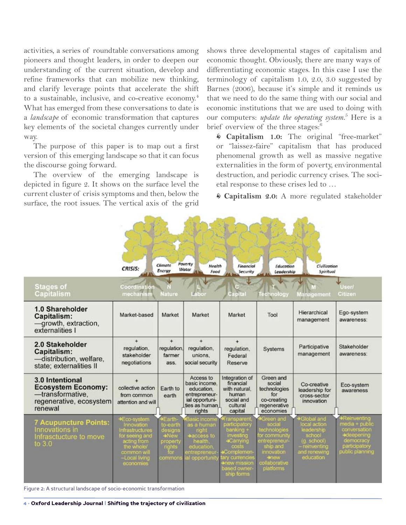activities, a series of roundtable conversations among pioneers and thought leaders, in order to deepen our understanding of the current situation, develop and refine frameworks that can mobilize new thinking, and clarify leverage points that accelerate the shift to a sustainable, inclusive, and co-creative economy.<sup>4</sup> What has emerged from these conversations to date is a *landscape* of economic transformation that captures key elements of the societal changes currently under way.

The purpose of this paper is to map out a first version of this emerging landscape so that it can focus the discourse going forward.

The overview of the emerging landscape is depicted in figure 2. It shows on the surface level the current cluster of crisis symptoms and then, below the surface, the root issues. The vertical axis of the grid shows three developmental stages of capitalism and economic thought. Obviously, there are many ways of differentiating economic stages. In this case I use the terminology of capitalism 1.0, 2.0, 3.0 suggested by Barnes (2006), because it's simple and it reminds us that we need to do the same thing with our social and economic institutions that we are used to doing with our computers: *update the operating system.*<sup>5</sup> Here is a brief overview of the three stages:<sup>6</sup>

 **Capitalism 1.0:** The original "free-market" or "laissez-faire" capitalism that has produced phenomenal growth as well as massive negative externalities in the form of poverty, environmental destruction, and periodic currency crises. The societal response to these crises led to …

**Capitalism 2.0:** A more regulated stakeholder

| <b>Stages of</b>                                                                                       | CRISIS:<br>Coordination                                                                                                                  | Climate<br>Energy                                                              | Poverty<br>Health<br>Water<br>Food                                                                           | Financial<br>Security                                                                                                                                                  | Education<br>Leadership                                                                                                                     | Civilization<br>Spiritual                                                                                     | <b>User/</b>                                                                                                         |
|--------------------------------------------------------------------------------------------------------|------------------------------------------------------------------------------------------------------------------------------------------|--------------------------------------------------------------------------------|--------------------------------------------------------------------------------------------------------------|------------------------------------------------------------------------------------------------------------------------------------------------------------------------|---------------------------------------------------------------------------------------------------------------------------------------------|---------------------------------------------------------------------------------------------------------------|----------------------------------------------------------------------------------------------------------------------|
| <b>Capitalism</b>                                                                                      | mechanism                                                                                                                                | <b>Nature</b>                                                                  | 1007                                                                                                         | Capital                                                                                                                                                                | Technology                                                                                                                                  | Management                                                                                                    | Citizen                                                                                                              |
| 1.0 Shareholder<br>Capitalism:<br>-growth, extraction,<br>externalities I                              | Market-based                                                                                                                             | Market                                                                         | Market                                                                                                       | Market                                                                                                                                                                 | Tool                                                                                                                                        | Hierarchical<br>management                                                                                    | Ego-system<br>awareness:                                                                                             |
| 2.0 Stakeholder<br>Capitalism:<br>-distribution, welfare,<br>state; externalities II                   | $+$<br>regulation.<br>stakeholder<br>negotiations                                                                                        | $\ddot{}$<br>regulation.<br>farmer<br>ass.                                     | $+$<br>regulation,<br>unions.<br>social security                                                             | $^{+}$<br>regulation,<br>Federal<br>Reserve                                                                                                                            | Systems                                                                                                                                     | Participative<br>management                                                                                   | Stakeholder<br>awareness:                                                                                            |
| 3.0 Intentional<br><b>Ecosystem Economy:</b><br>-transformative.<br>regenerative, ecosystem<br>renewal | collective action<br>from common<br>attention and will                                                                                   | Earth to<br>earth                                                              | Access to<br>basic income.<br>education.<br>entrepreneur-<br>ial opportuni-<br>ties as human<br>rights       | Integration of<br>financial<br>with natural.<br>human<br>social and<br>cultural<br>capital                                                                             | Green and<br>social<br>technologies<br>for<br>co-creating<br>regenerative<br>economies                                                      | Co-creative<br>leadership for<br>cross-sector<br>innovation                                                   | Eco-system<br>awareness                                                                                              |
| <b>7 Acupuncture Points:</b><br>Innovations in<br>Infrasctucture to move<br>to $3.0$                   | +Eco-system<br>Innovation<br>Infrastructures<br>for seeing and<br>acting from<br>the whole.<br>common will<br>-Local living<br>economies | Earth-<br>to-earth<br>designs<br>→New<br>property<br>rights<br>for.<br>commons | Basic income<br>as a human<br>right<br>+access to<br>health.<br>education.<br>entrepreneur<br>al opportunity | Fransparent<br>participatory<br>banking +<br>investing<br><b>+Carrying</b><br>costs<br>Complemen<br>ary currencies<br><b>Anew mission</b><br>based owner<br>ship forms | Green and<br>social<br>technologies<br>or community<br>entrepreneur-<br>ship and<br>innovation<br><b>Shew</b><br>collaborative<br>platforms | Global and<br>local action<br>leadership<br>school<br>(g. school)<br>reinventing<br>and renewing<br>education | <b>*Reinventing</b><br>media + public<br>conversation<br>+deepening<br>democracy<br>participatory<br>public planning |

Figure 2: A structural landscape of socio-economic transformation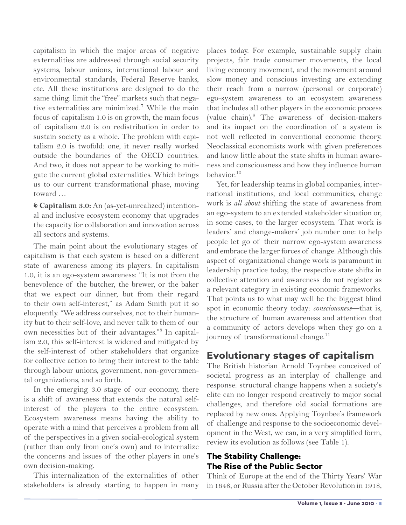capitalism in which the major areas of negative externalities are addressed through social security systems, labour unions, international labour and environmental standards, Federal Reserve banks, etc. All these institutions are designed to do the same thing: limit the "free" markets such that negative externalities are minimized.<sup>7</sup> While the main focus of capitalism 1.0 is on growth, the main focus of capitalism 2.0 is on redistribution in order to sustain society as a whole. The problem with capitalism 2.0 is twofold: one, it never really worked outside the boundaries of the OECD countries. And two, it does not appear to be working to mitigate the current global externalities. Which brings us to our current transformational phase, moving toward …

 **Capitalism 3.0:** An (as-yet-unrealized) intentional and inclusive ecosystem economy that upgrades the capacity for collaboration and innovation across all sectors and systems.

The main point about the evolutionary stages of capitalism is that each system is based on a different state of awareness among its players. In capitalism 1.0, it is an ego-system awareness: "It is not from the benevolence of the butcher, the brewer, or the baker that we expect our dinner, but from their regard to their own self-interest," as Adam Smith put it so eloquently. "We address ourselves, not to their humanity but to their self-love, and never talk to them of our own necessities but of their advantages."<sup>8</sup> In capitalism 2.0, this self-interest is widened and mitigated by the self-interest of other stakeholders that organize for collective action to bring their interest to the table through labour unions, government, non-governmental organizations, and so forth.

In the emerging 3.0 stage of our economy, there is a shift of awareness that extends the natural selfinterest of the players to the entire ecosystem. Ecosystem awareness means having the ability to operate with a mind that perceives a problem from all of the perspectives in a given social-ecological system (rather than only from one's own) and to internalize the concerns and issues of the other players in one's own decision-making.

This internalization of the externalities of other stakeholders is already starting to happen in many places today. For example, sustainable supply chain projects, fair trade consumer movements, the local living economy movement, and the movement around slow money and conscious investing are extending their reach from a narrow (personal or corporate) ego-system awareness to an ecosystem awareness that includes all other players in the economic process (value chain).<sup>9</sup> The awareness of decision-makers and its impact on the coordination of a system is not well reflected in conventional economic theory. Neoclassical economists work with given preferences and know little about the state shifts in human awareness and consciousness and how they influence human behavior.10

Yet, for leadership teams in global companies, international institutions, and local communities, change work is *all about* shifting the state of awareness from an ego-system to an extended stakeholder situation or, in some cases, to the larger ecosystem. That work is leaders' and change-makers' job number one: to help people let go of their narrow ego-system awareness and embrace the larger forces of change. Although this aspect of organizational change work is paramount in leadership practice today, the respective state shifts in collective attention and awareness do not register as a relevant category in existing economic frameworks. That points us to what may well be the biggest blind spot in economic theory today: *consciousness*—that is, the structure of human awareness and attention that a community of actors develops when they go on a journey of transformational change.<sup>11</sup>

# Evolutionary stages of capitalism

The British historian Arnold Toynbee conceived of societal progress as an interplay of challenge and response: structural change happens when a society's elite can no longer respond creatively to major social challenges, and therefore old social formations are replaced by new ones. Applying Toynbee's framework of challenge and response to the socioeconomic development in the West, we can, in a very simplified form, review its evolution as follows (see Table 1).

## The Stability Challenge: The Rise of the Public Sector

Think of Europe at the end of the Thirty Years' War in 1648, or Russia after the October Revolution in 1918,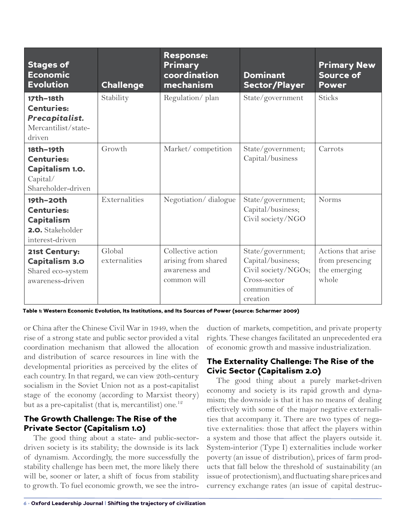| <b>Stages of</b><br><b>Economic</b><br><b>Evolution</b>                                    | <b>Challenge</b>        | <b>Response:</b><br><b>Primary</b><br>coordination<br>mechanism          | <b>Dominant</b><br>Sector/Player                                                                            | <b>Primary New</b><br>Source of<br><b>Power</b>                |
|--------------------------------------------------------------------------------------------|-------------------------|--------------------------------------------------------------------------|-------------------------------------------------------------------------------------------------------------|----------------------------------------------------------------|
| 17th-18th<br><b>Centuries:</b><br>Precapitalist.<br>Mercantilist/state-<br>driven          | Stability               | Regulation/plan                                                          | State/government                                                                                            | <b>Sticks</b>                                                  |
| 18th-19th<br><b>Centuries:</b><br><b>Capitalism 1.0.</b><br>Capital/<br>Shareholder-driven | Growth                  | Market/competition                                                       | State/government;<br>Capital/business                                                                       | Carrots                                                        |
| 19th-20th<br><b>Centuries:</b><br><b>Capitalism</b><br>2.O. Stakeholder<br>interest-driven | Externalities           | Negotiation/dialogue                                                     | State/government;<br>Capital/business;<br>Civil society/NGO                                                 | <b>Norms</b>                                                   |
| 21st Century:<br><b>Capitalism 3.0</b><br>Shared eco-system<br>awareness-driven            | Global<br>externalities | Collective action<br>arising from shared<br>awareness and<br>common will | State/government;<br>Capital/business;<br>Civil society/NGOs;<br>Cross-sector<br>communities of<br>creation | Actions that arise<br>from presencing<br>the emerging<br>whole |

Table 1: Western Economic Evolution, Its Institutions, and Its Sources of Power (source: Scharmer 2009)

or China after the Chinese Civil War in 1949, when the rise of a strong state and public sector provided a vital coordination mechanism that allowed the allocation and distribution of scarce resources in line with the developmental priorities as perceived by the elites of each country. In that regard, we can view 20th-century socialism in the Soviet Union not as a post-capitalist stage of the economy (according to Marxist theory) but as a pre-capitalist (that is, mercantilist) one.<sup>12</sup>

### The Growth Challenge: The Rise of the Private Sector (Capitalism 1.0)

The good thing about a state- and public-sectordriven society is its stability; the downside is its lack of dynamism. Accordingly, the more successfully the stability challenge has been met, the more likely there will be, sooner or later, a shift of focus from stability to growth. To fuel economic growth, we see the introduction of markets, competition, and private property rights. These changes facilitated an unprecedented era of economic growth and massive industrialization.

## The Externality Challenge: The Rise of the Civic Sector (Capitalism 2.0)

The good thing about a purely market-driven economy and society is its rapid growth and dynamism; the downside is that it has no means of dealing effectively with some of the major negative externalities that accompany it. There are two types of negative externalities: those that affect the players within a system and those that affect the players outside it. System-interior (Type I) externalities include worker poverty (an issue of distribution), prices of farm products that fall below the threshold of sustainability (an issue of protectionism), and fluctuating share prices and currency exchange rates (an issue of capital destruc-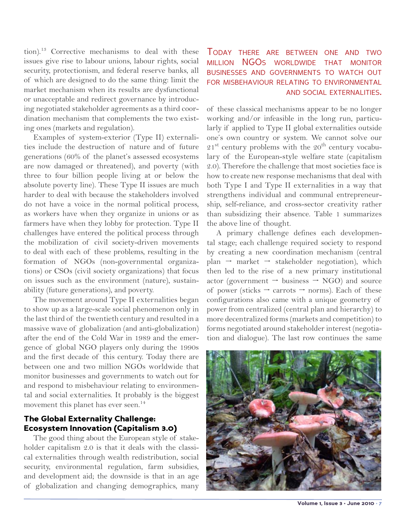tion).13 Corrective mechanisms to deal with these issues give rise to labour unions, labour rights, social security, protectionism, and federal reserve banks, all of which are designed to do the same thing: limit the market mechanism when its results are dysfunctional or unacceptable and redirect governance by introducing negotiated stakeholder agreements as a third coordination mechanism that complements the two existing ones (markets and regulation).

Examples of system-exterior (Type II) externalities include the destruction of nature and of future generations (60% of the planet's assessed ecosystems are now damaged or threatened), and poverty (with three to four billion people living at or below the absolute poverty line). These Type II issues are much harder to deal with because the stakeholders involved do not have a voice in the normal political process, as workers have when they organize in unions or as farmers have when they lobby for protection. Type II challenges have entered the political process through the mobilization of civil society-driven movements to deal with each of these problems, resulting in the formation of NGOs (non-governmental organizations) or CSOs (civil society organizations) that focus on issues such as the environment (nature), sustainability (future generations), and poverty.

The movement around Type II externalities began to show up as a large-scale social phenomenon only in the last third of the twentieth century and resulted in a massive wave of globalization (and anti-globalization) after the end of the Cold War in 1989 and the emergence of global NGO players only during the 1990s and the first decade of this century. Today there are between one and two million NGOs worldwide that monitor businesses and governments to watch out for and respond to misbehaviour relating to environmental and social externalities. It probably is the biggest movement this planet has ever seen.<sup>14</sup>

## The Global Externality Challenge: Ecosystem Innovation (Capitalism 3.0)

The good thing about the European style of stakeholder capitalism 2.0 is that it deals with the classical externalities through wealth redistribution, social security, environmental regulation, farm subsidies, and development aid; the downside is that in an age of globalization and changing demographics, many

## Today there are between one and two million NGOs worldwide that monitor businesses and governments to watch out for misbehaviour relating to environmental and social externalities.

of these classical mechanisms appear to be no longer working and/or infeasible in the long run, particularly if applied to Type II global externalities outside one's own country or system. We cannot solve our  $21<sup>st</sup>$  century problems with the  $20<sup>th</sup>$  century vocabulary of the European-style welfare state (capitalism 2.0). Therefore the challenge that most societies face is how to create new response mechanisms that deal with both Type I and Type II externalities in a way that strengthens individual and communal entrepreneurship, self-reliance, and cross-sector creativity rather than subsidizing their absence. Table 1 summarizes the above line of thought.

A primary challenge defines each developmental stage; each challenge required society to respond by creating a new coordination mechanism (central plan  $\rightarrow$  market  $\rightarrow$  stakeholder negotiation), which then led to the rise of a new primary institutional actor (government  $\rightarrow$  business  $\rightarrow$  NGO) and source of power (sticks  $\rightarrow$  carrots  $\rightarrow$  norms). Each of these configurations also came with a unique geometry of power from centralized (central plan and hierarchy) to more decentralized forms (markets and competition) to forms negotiated around stakeholder interest (negotiation and dialogue). The last row continues the same



Volume 1, Issue 3 · June 2010 · 7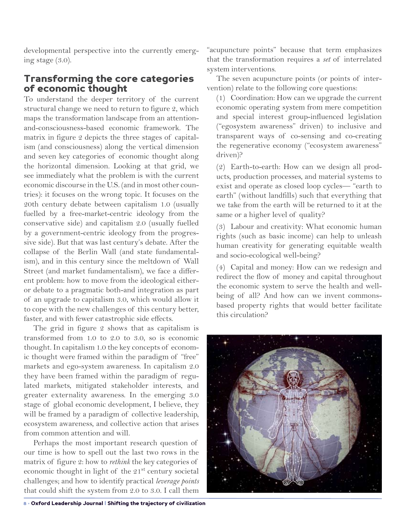developmental perspective into the currently emerging stage (3.0).

## Transforming the core categories of economic thought

To understand the deeper territory of the current structural change we need to return to figure 2, which maps the transformation landscape from an attentionand-consciousness-based economic framework. The matrix in figure 2 depicts the three stages of capitalism (and consciousness) along the vertical dimension and seven key categories of economic thought along the horizontal dimension. Looking at that grid, we see immediately what the problem is with the current economic discourse in the U.S. (and in most other countries): it focuses on the wrong topic. It focuses on the 20th century debate between capitalism 1.0 (usually fuelled by a free-market-centric ideology from the conservative side) and capitalism 2.0 (usually fuelled by a government-centric ideology from the progressive side). But that was last century's debate. After the collapse of the Berlin Wall (and state fundamentalism), and in this century since the meltdown of Wall Street (and market fundamentalism), we face a different problem: how to move from the ideological eitheror debate to a pragmatic both-and integration as part of an upgrade to capitalism 3.0, which would allow it to cope with the new challenges of this century better, faster, and with fewer catastrophic side effects.

The grid in figure 2 shows that as capitalism is transformed from 1.0 to 2.0 to 3.0, so is economic thought. In capitalism 1.0 the key concepts of economic thought were framed within the paradigm of "free" markets and ego-system awareness. In capitalism 2.0 they have been framed within the paradigm of regulated markets, mitigated stakeholder interests, and greater externality awareness. In the emerging 3.0 stage of global economic development, I believe, they will be framed by a paradigm of collective leadership, ecosystem awareness, and collective action that arises from common attention and will.

Perhaps the most important research question of our time is how to spell out the last two rows in the matrix of figure 2: how to *rethink* the key categories of economic thought in light of the  $21<sup>st</sup>$  century societal challenges; and how to identify practical *leverage points* that could shift the system from 2.0 to 3.0. I call them

"acupuncture points" because that term emphasizes that the transformation requires a *set* of interrelated system interventions.

The seven acupuncture points (or points of intervention) relate to the following core questions:

(1) Coordination: How can we upgrade the current economic operating system from mere competition and special interest group-influenced legislation ("egosystem awareness" driven) to inclusive and transparent ways of co-sensing and co-creating the regenerative economy ("ecosystem awareness" driven)?

(2) Earth-to-earth: How can we design all products, production processes, and material systems to exist and operate as closed loop cycles— "earth to earth" (without landfills) such that everything that we take from the earth will be returned to it at the same or a higher level of quality?

(3) Labour and creativity: What economic human rights (such as basic income) can help to unleash human creativity for generating equitable wealth and socio-ecological well-being?

(4) Capital and money: How can we redesign and redirect the flow of money and capital throughout the economic system to serve the health and wellbeing of all? And how can we invent commonsbased property rights that would better facilitate this circulation?

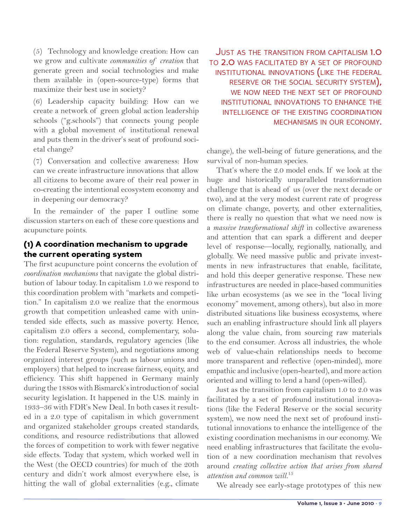(5) Technology and knowledge creation: How can we grow and cultivate *communities of creation* that generate green and social technologies and make them available in (open-source-type) forms that maximize their best use in society?

(6) Leadership capacity building: How can we create a network of green global action leadership schools ("g.schools") that connects young people with a global movement of institutional renewal and puts them in the driver's seat of profound societal change?

(7) Conversation and collective awareness: How can we create infrastructure innovations that allow all citizens to become aware of their real power in co-creating the intentional ecosystem economy and in deepening our democracy?

In the remainder of the paper I outline some discussion starters on each of these core questions and acupuncture points.

## (1) A coordination mechanism to upgrade the current operating system

The first acupuncture point concerns the evolution of *coordination mechanisms* that navigate the global distribution of labour today. In capitalism 1.0 we respond to this coordination problem with "markets and competition." In capitalism 2.0 we realize that the enormous growth that competition unleashed came with unintended side effects, such as massive poverty. Hence, capitalism 2.0 offers a second, complementary, solution: regulation, standards, regulatory agencies (like the Federal Reserve System), and negotiations among organized interest groups (such as labour unions and employers) that helped to increase fairness, equity, and efficiency. This shift happened in Germany mainly during the 1880s with Bismarck's introduction of social security legislation. It happened in the U.S. mainly in 1933–36 with FDR's New Deal. In both cases it resulted in a 2.0 type of capitalism in which government and organized stakeholder groups created standards, conditions, and resource redistributions that allowed the forces of competition to work with fewer negative side effects. Today that system, which worked well in the West (the OECD countries) for much of the 20th century and didn't work almost everywhere else, is hitting the wall of global externalities (e.g., climate

JUST AS THE TRANSITION FROM CAPITALISM 1.0 to 2.0 was facilitated by <sup>a</sup> set of profound institutional innovations (like the federal reserve or the social security system), WE NOW NEED THE NEXT SET OF PROFOUND institutional innovations to enhance the intelligence of the existing coordination mechanisms in our economy.

change), the well-being of future generations, and the survival of non-human species.

That's where the 2.0 model ends. If we look at the huge and historically unparalleled transformation challenge that is ahead of us (over the next decade or two), and at the very modest current rate of progress on climate change, poverty, and other externalities, there is really no question that what we need now is a *massive transformational shift* in collective awareness and attention that can spark a different and deeper level of response—locally, regionally, nationally, and globally. We need massive public and private investments in new infrastructures that enable, facilitate, and hold this deeper generative response. These new infrastructures are needed in place-based communities like urban ecosystems (as we see in the "local living economy" movement, among others), but also in more distributed situations like business ecosystems, where such an enabling infrastructure should link all players along the value chain, from sourcing raw materials to the end consumer. Across all industries, the whole web of value-chain relationships needs to become more transparent and reflective (open-minded), more empathic and inclusive (open-hearted), and more action oriented and willing to lend a hand (open-willed).

Just as the transition from capitalism 1.0 to 2.0 was facilitated by a set of profound institutional innovations (like the Federal Reserve or the social security system), we now need the next set of profound institutional innovations to enhance the intelligence of the existing coordination mechanisms in our economy. We need enabling infrastructures that facilitate the evolution of a new coordination mechanism that revolves around *creating collective action that arises from shared attention and common will.*<sup>15</sup>

We already see early-stage prototypes of this new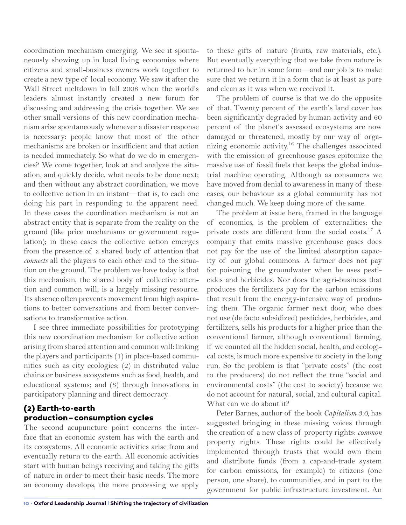coordination mechanism emerging. We see it spontaneously showing up in local living economies where citizens and small-business owners work together to create a new type of local economy. We saw it after the Wall Street meltdown in fall 2008 when the world's leaders almost instantly created a new forum for discussing and addressing the crisis together. We see other small versions of this new coordination mechanism arise spontaneously whenever a disaster response is necessary: people know that most of the other mechanisms are broken or insufficient and that action is needed immediately. So what do we do in emergencies? We come together, look at and analyze the situation, and quickly decide, what needs to be done next; and then without any abstract coordination, we move to collective action in an instant—that is, to each one doing his part in responding to the apparent need. In these cases the coordination mechanism is not an abstract entity that is separate from the reality on the ground (like price mechanisms or government regulation); in these cases the collective action emerges from the presence of a shared body of attention that *connects* all the players to each other and to the situation on the ground. The problem we have today is that this mechanism, the shared body of collective attention and common will, is a largely missing resource. Its absence often prevents movement from high aspirations to better conversations and from better conversations to transformative action.

I see three immediate possibilities for prototyping this new coordination mechanism for collective action arising from shared attention and common will: linking the players and participants (1) in place-based communities such as city ecologies; (2) in distributed value chains or business ecosystems such as food, health, and educational systems; and (3) through innovations in participatory planning and direct democracy.

### (2) Earth-to-earth production–consumption cycles

The second acupuncture point concerns the interface that an economic system has with the earth and its ecosystems. All economic activities arise from and eventually return to the earth. All economic activities start with human beings receiving and taking the gifts of nature in order to meet their basic needs. The more an economy develops, the more processing we apply to these gifts of nature (fruits, raw materials, etc.). But eventually everything that we take from nature is returned to her in some form—and our job is to make sure that we return it in a form that is at least as pure and clean as it was when we received it.

The problem of course is that we do the opposite of that. Twenty percent of the earth's land cover has been significantly degraded by human activity and 60 percent of the planet's assessed ecosystems are now damaged or threatened, mostly by our way of organizing economic activity.16 The challenges associated with the emission of greenhouse gases epitomize the massive use of fossil fuels that keeps the global industrial machine operating. Although as consumers we have moved from denial to awareness in many of these cases, our behaviour as a global community has not changed much. We keep doing more of the same.

The problem at issue here, framed in the language of economics, is the problem of externalities: the private costs are different from the social costs.<sup>17</sup> A company that emits massive greenhouse gases does not pay for the use of the limited absorption capacity of our global commons. A farmer does not pay for poisoning the groundwater when he uses pesticides and herbicides. Nor does the agri-business that produces the fertilizers pay for the carbon emissions that result from the energy-intensive way of producing them. The organic farmer next door, who does not use (de facto subsidized) pesticides, herbicides, and fertilizers, sells his products for a higher price than the conventional farmer, although conventional farming, if we counted all the hidden social, health, and ecological costs, is much more expensive to society in the long run. So the problem is that "private costs" (the cost to the producers) do not reflect the true "social and environmental costs" (the cost to society) because we do not account for natural, social, and cultural capital. What can we do about it?

Peter Barnes, author of the book *Capitalism 3.0,* has suggested bringing in these missing voices through the creation of a new class of property rights: *common*  property rights. These rights could be effectively implemented through trusts that would own them and distribute funds (from a cap-and-trade system for carbon emissions, for example) to citizens (one person, one share), to communities, and in part to the government for public infrastructure investment. An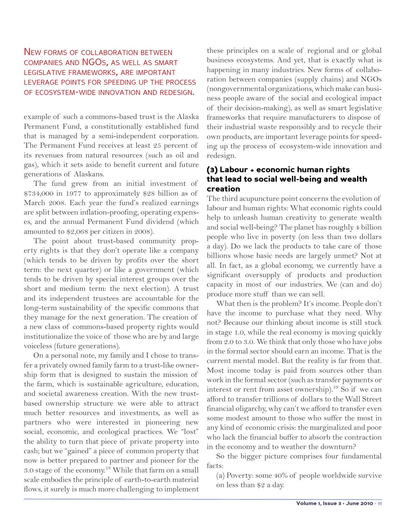### NEW FORMS OF COLLABORATION BETWEEN companies and NGOs, as well as smart legislative frameworks, are important leverage points for speeding up the process of ecosystem-wide innovation and redesign.

example of such a commons-based trust is the Alaska Permanent Fund, a constitutionally established fund that is managed by a semi-independent corporation. The Permanent Fund receives at least 25 percent of its revenues from natural resources (such as oil and gas), which it sets aside to benefit current and future generations of Alaskans.

The fund grew from an initial investment of \$734,000 in 1977 to approximately \$28 billion as of March 2008. Each year the fund's realized earnings are split between inflation-proofing, operating expenses, and the annual Permanent Fund dividend (which amounted to \$2,068 per citizen in 2008).

The point about trust-based community property rights is that they don't operate like a company (which tends to be driven by profits over the short term: the next quarter) or like a government (which tends to be driven by special interest groups over the short and medium term: the next election). A trust and its independent trustees are accountable for the long-term sustainability of the specific commons that they manage for the next generation. The creation of a new class of commons-based property rights would institutionalize the voice of those who are by and large voiceless (future generations).

On a personal note, my family and I chose to transfer a privately owned family farm to a trust-like ownership form that is designed to sustain the mission of the farm, which is sustainable agriculture, education, and societal awareness creation. With the new trustbased ownership structure we were able to attract much better resources and investments, as well as partners who were interested in pioneering new social, economic, and ecological practices. We "lost" the ability to turn that piece of private property into cash; but we "gained" a piece of common property that now is better prepared to partner and pioneer for the 3.0 stage of the economy.<sup>18</sup> While that farm on a small scale embodies the principle of earth-to-earth material flows, it surely is much more challenging to implement these principles on a scale of regional and or global business ecosystems. And yet, that is exactly what is happening in many industries. New forms of collaboration between companies (supply chains) and NGOs (nongovernmental organizations, which make can business people aware of the social and ecological impact of their decision-making), as well as smart legislative frameworks that require manufacturers to dispose of their industrial waste responsibly and to recycle their own products, are important leverage points for speeding up the process of ecosystem-wide innovation and redesign.

### (3) Labour + economic human rights that lead to social well-being and wealth creation

The third acupuncture point concerns the evolution of labour and human rights: What economic rights could help to unleash human creativity to generate wealth and social well-being? The planet has roughly 4 billion people who live in poverty (on less than two dollars a day). Do we lack the products to take care of those billions whose basic needs are largely unmet? Not at all. In fact, as a global economy, we currently have a significant oversupply of products and production capacity in most of our industries. We (can and do) produce more stuff than we can sell.

What then is the problem? It's income. People don't have the income to purchase what they need. Why not? Because our thinking about income is still stuck in stage 1.0, while the real economy is moving quickly from 2.0 to 3.0. We think that only those who have jobs in the formal sector should earn an income. That is the current mental model. But the reality is far from that. Most income today is paid from sources other than work in the formal sector (such as transfer payments or interest or rent from asset ownership).<sup>19</sup> So if we can afford to transfer trillions of dollars to the Wall Street financial oligarchy, why can't we afford to transfer even some modest amount to those who suffer the most in any kind of economic crisis: the marginalized and poor who lack the financial buffer to absorb the contraction in the economy and to weather the downturn?

So the bigger picture comprises four fundamental facts:

(a) Poverty: some 40% of people worldwide survive on less than \$2 a day.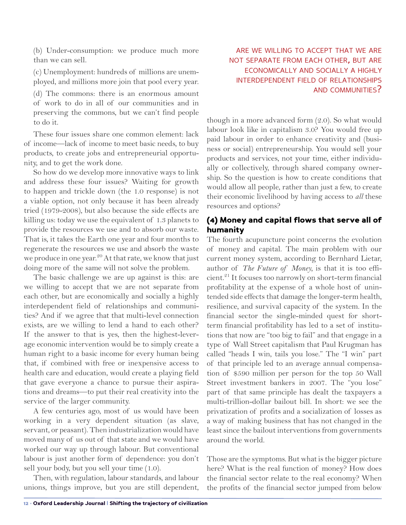(b) Under-consumption: we produce much more than we can sell.

(c) Unemployment: hundreds of millions are unemployed, and millions more join that pool every year.

(d) The commons: there is an enormous amount of work to do in all of our communities and in preserving the commons, but we can't find people to do it.

These four issues share one common element: lack of income—lack of income to meet basic needs, to buy products, to create jobs and entrepreneurial opportunity, and to get the work done.

So how do we develop more innovative ways to link and address these four issues? Waiting for growth to happen and trickle down (the 1.0 response) is not a viable option, not only because it has been already tried (1979-2008), but also because the side effects are killing us: today we use the equivalent of 1.3 planets to provide the resources we use and to absorb our waste. That is, it takes the Earth one year and four months to regenerate the resources we use and absorb the waste we produce in one year. $20$  At that rate, we know that just doing more of the same will not solve the problem.

The basic challenge we are up against is this: are we willing to accept that we are not separate from each other, but are economically and socially a highly interdependent field of relationships and communities? And if we agree that that multi-level connection exists, are we willing to lend a hand to each other? If the answer to that is yes, then the highest-leverage economic intervention would be to simply create a human right to a basic income for every human being that, if combined with free or inexpensive access to health care and education, would create a playing field that gave everyone a chance to pursue their aspirations and dreams—to put their real creativity into the service of the larger community.

A few centuries ago, most of us would have been working in a very dependent situation (as slave, servant, or peasant). Then industrialization would have moved many of us out of that state and we would have worked our way up through labour. But conventional labour is just another form of dependence: you don't sell your body, but you sell your time (1.0).

Then, with regulation, labour standards, and labour unions, things improve, but you are still dependent,

### are we willing to accept that we are not separate from each other, but are economically and socially a highly interdependent field of relationships and communities?

though in a more advanced form (2.0). So what would labour look like in capitalism 3.0? You would free up paid labour in order to enhance creativity and (business or social) entrepreneurship. You would sell your products and services, not your time, either individually or collectively, through shared company ownership. So the question is how to create conditions that would allow all people, rather than just a few, to create their economic livelihood by having access to *all* these resources and options?

## (4) Money and capital flows that serve all of humanity

The fourth acupuncture point concerns the evolution of money and capital. The main problem with our current money system, according to Bernhard Lietar, author of *The Future of Money,* is that it is too efficient.<sup>21</sup> It focuses too narrowly on short-term financial profitability at the expense of a whole host of unintended side effects that damage the longer-term health, resilience, and survival capacity of the system. In the financial sector the single-minded quest for shortterm financial profitability has led to a set of institutions that now are "too big to fail" and that engage in a type of Wall Street capitalism that Paul Krugman has called "heads I win, tails you lose." The "I win" part of that principle led to an average annual compensation of \$590 million per person for the top 50 Wall Street investment bankers in 2007. The "you lose" part of that same principle has dealt the taxpayers a multi-trillion-dollar bailout bill. In short: we see the privatization of profits and a socialization of losses as a way of making business that has not changed in the least since the bailout interventions from governments around the world.

Those are the symptoms. But what is the bigger picture here? What is the real function of money? How does the financial sector relate to the real economy? When the profits of the financial sector jumped from below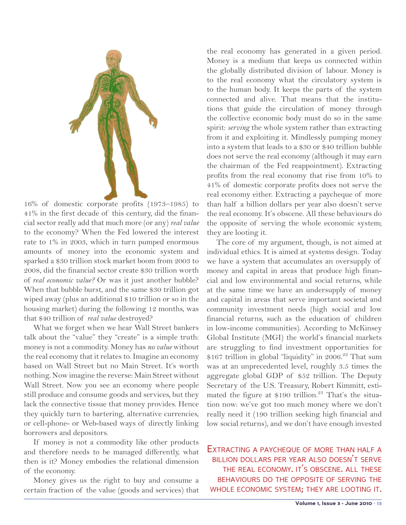

16% of domestic corporate profits (1973–1985) to 41% in the first decade of this century, did the financial sector really add that much more (or any) *real value* to the economy? When the Fed lowered the interest rate to 1% in 2003, which in turn pumped enormous amounts of money into the economic system and sparked a \$30 trillion stock market boom from 2003 to 2008, did the financial sector create \$30 trillion worth of *real economic value?* Or was it just another bubble? When that bubble burst, and the same \$30 trillion got wiped away (plus an additional \$10 trillion or so in the housing market) during the following 12 months, was that \$40 trillion of *real value* destroyed?

What we forget when we hear Wall Street bankers talk about the "value" they "create" is a simple truth: money is not a commodity. Money has *no value* without the real economy that it relates to. Imagine an economy based on Wall Street but no Main Street. It's worth nothing. Now imagine the reverse: Main Street without Wall Street. Now you see an economy where people still produce and consume goods and services, but they lack the connective tissue that money provides. Hence they quickly turn to bartering, alternative currencies, or cell-phone- or Web-based ways of directly linking borrowers and depositors.

If money is not a commodity like other products and therefore needs to be managed differently, what then is it? Money embodies the relational dimension of the economy.

Money gives us the right to buy and consume a certain fraction of the value (goods and services) that the real economy has generated in a given period. Money is a medium that keeps us connected within the globally distributed division of labour. Money is to the real economy what the circulatory system is to the human body. It keeps the parts of the system connected and alive. That means that the institutions that guide the circulation of money through the collective economic body must do so in the same spirit: *serving* the whole system rather than extracting from it and exploiting it. Mindlessly pumping money into a system that leads to a \$30 or \$40 trillion bubble does not serve the real economy (although it may earn the chairman of the Fed reappointment). Extracting profits from the real economy that rise from 10% to 41% of domestic corporate profits does not serve the real economy either. Extracting a paycheque of more than half a billion dollars per year also doesn't serve the real economy. It's obscene. All these behaviours do the opposite of serving the whole economic system; they are looting it.

The core of my argument, though, is not aimed at individual ethics. It is aimed at systems design. Today we have a system that accumulates an oversupply of money and capital in areas that produce high financial and low environmental and social returns, while at the same time we have an undersupply of money and capital in areas that serve important societal and community investment needs (high social and low financial returns, such as the education of children in low-income communities). According to McKinsey Global Institute (MGI) the world's financial markets are struggling to find investment opportunities for \$167 trillion in global "liquidity" in 2006.<sup>22</sup> That sum was at an unprecedented level, roughly 3.5 times the aggregate global GDP of \$52 trillion. The Deputy Secretary of the U.S. Treasury, Robert Kimmitt, estimated the figure at  $$190$  trillion.<sup>23</sup> That's the situation now: we've got too much money where we don't really need it (190 trillion seeking high financial and low social returns), and we don't have enough invested

EXTRACTING A PAYCHEQUE OF MORE THAN HALF A billion dollars per year also doesn't serve the real economy. it's obscene. all these behaviours do the opposite of serving the whole economic system; they are looting it.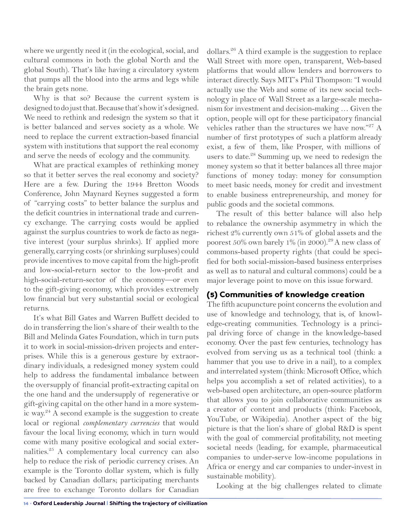where we urgently need it (in the ecological, social, and cultural commons in both the global North and the global South). That's like having a circulatory system that pumps all the blood into the arms and legs while the brain gets none.

Why is that so? Because the current system is designed to do just that. Because that's how it's designed. We need to rethink and redesign the system so that it is better balanced and serves society as a whole. We need to replace the current extraction-based financial system with institutions that support the real economy and serve the needs of ecology and the community.

What are practical examples of rethinking money so that it better serves the real economy and society? Here are a few. During the 1944 Bretton Woods Conference, John Maynard Keynes suggested a form of "carrying costs" to better balance the surplus and the deficit countries in international trade and currency exchange. The carrying costs would be applied against the surplus countries to work de facto as negative interest (your surplus shrinks). If applied more generally, carrying costs (or shrinking surpluses) could provide incentives to move capital from the high-profit and low-social-return sector to the low-profit and high-social-return-sector of the economy—or even to the gift-giving economy, which provides extremely low financial but very substantial social or ecological returns.

It's what Bill Gates and Warren Buffett decided to do in transferring the lion's share of their wealth to the Bill and Melinda Gates Foundation, which in turn puts it to work in social-mission-driven projects and enterprises. While this is a generous gesture by extraordinary individuals, a redesigned money system could help to address the fundamental imbalance between the oversupply of financial profit-extracting capital on the one hand and the undersupply of regenerative or gift-giving capital on the other hand in a more systemic way.<sup>24</sup> A second example is the suggestion to create local or regional *complementary currencies* that would favour the local living economy, which in turn would come with many positive ecological and social externalities.25 A complementary local currency can also help to reduce the risk of periodic currency crises. An example is the Toronto dollar system, which is fully backed by Canadian dollars; participating merchants are free to exchange Toronto dollars for Canadian

dollars.<sup>26</sup> A third example is the suggestion to replace Wall Street with more open, transparent, Web-based platforms that would allow lenders and borrowers to interact directly. Says MIT's Phil Thompson: "I would actually use the Web and some of its new social technology in place of Wall Street as a large-scale mechanism for investment and decision-making … Given the option, people will opt for these participatory financial vehicles rather than the structures we have now."<sup>27</sup> A number of first prototypes of such a platform already exist, a few of them, like Prosper, with millions of users to date.<sup>28</sup> Summing up, we need to redesign the money system so that it better balances all three major functions of money today: money for consumption to meet basic needs, money for credit and investment to enable business entrepreneurship, and money for public goods and the societal commons.

The result of this better balance will also help to rebalance the ownership asymmetry in which the richest 2% currently own 51% of global assets and the poorest  $50\%$  own barely  $1\%$  (in 2000).<sup>29</sup> A new class of commons-based property rights (that could be specified for both social-mission-based business enterprises as well as to natural and cultural commons) could be a major leverage point to move on this issue forward.

## (5) Communities of knowledge creation

The fifth acupuncture point concerns the evolution and use of knowledge and technology, that is, of knowledge-creating communities. Technology is a principal driving force of change in the knowledge-based economy. Over the past few centuries, technology has evolved from serving us as a technical tool (think: a hammer that you use to drive in a nail), to a complex and interrelated system (think: Microsoft Office, which helps you accomplish a set of related activities), to a web-based open architecture, an open-source platform that allows you to join collaborative communities as a creator of content and products (think: Facebook, YouTube, or Wikipedia). Another aspect of the big picture is that the lion's share of global R&D is spent with the goal of commercial profitability, not meeting societal needs (leading, for example, pharmaceutical companies to under-serve low-income populations in Africa or energy and car companies to under-invest in sustainable mobility).

Looking at the big challenges related to climate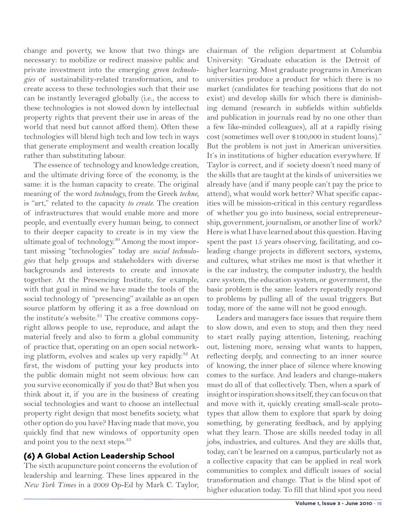change and poverty, we know that two things are necessary: to mobilize or redirect massive public and private investment into the emerging *green technologies* of sustainability-related transformation, and to create access to these technologies such that their use can be instantly leveraged globally (i.e., the access to these technologies is not slowed down by intellectual property rights that prevent their use in areas of the world that need but cannot afford them). Often these technologies will blend high tech and low tech in ways that generate employment and wealth creation locally rather than substituting labour.

The essence of technology and knowledge creation, and the ultimate driving force of the economy, is the same: it is the human capacity to create. The original meaning of the word *technology,* from the Greek *techne,* is "art," related to the capacity *to create.* The creation of infrastructures that would enable more and more people, and eventually every human being, to connect to their deeper capacity to create is in my view the ultimate goal of technology.<sup>30</sup> Among the most important missing "technologies" today are *social technologies* that help groups and stakeholders with diverse backgrounds and interests to create and innovate together. At the Presencing Institute, for example, with that goal in mind we have made the tools of the social technology of "presencing" available as an open source platform by offering it as a free download on the institute's website.<sup>31</sup> The creative commons copyright allows people to use, reproduce, and adapt the material freely and also to form a global community of practice that, operating on an open social networking platform, evolves and scales up very rapidly.<sup>32</sup> At first, the wisdom of putting your key products into the public domain might not seem obvious: how can you survive economically if you do that? But when you think about it, if you are in the business of creating social technologies and want to choose an intellectual property right design that most benefits society, what other option do you have? Having made that move, you quickly find that new windows of opportunity open and point you to the next steps.<sup>33</sup>

#### (6) A Global Action Leadership School

The sixth acupuncture point concerns the evolution of leadership and learning. These lines appeared in the *New York Times* in a 2009 Op-Ed by Mark C. Taylor, chairman of the religion department at Columbia University: "Graduate education is the Detroit of higher learning. Most graduate programs in American universities produce a product for which there is no market (candidates for teaching positions that do not exist) and develop skills for which there is diminishing demand (research in subfields within subfields and publication in journals read by no one other than a few like-minded colleagues), all at a rapidly rising cost (sometimes well over \$100,000 in student loans)." But the problem is not just in American universities. It's in institutions of higher education everywhere. If Taylor is correct, and if society doesn't need many of the skills that are taught at the kinds of universities we already have (and if many people can't pay the price to attend), what would work better? What specific capacities will be mission-critical in this century regardless of whether you go into business, social entrepreneurship, government, journalism, or another line of work? Here is what I have learned about this question. Having spent the past 15 years observing, facilitating, and coleading change projects in different sectors, systems, and cultures, what strikes me most is that whether it is the car industry, the computer industry, the health care system, the education system, or government, the basic problem is the same: leaders repeatedly respond to problems by pulling all of the usual triggers. But today, more of the same will not be good enough.

Leaders and managers face issues that require them to slow down, and even to stop; and then they need to start really paying attention, listening, reaching out, listening more, sensing what wants to happen, reflecting deeply, and connecting to an inner source of knowing, the inner place of silence where knowing comes to the surface. And leaders and change-makers must do all of that collectively. Then, when a spark of insight or inspiration shows itself, they can focus on that and move with it, quickly creating small-scale prototypes that allow them to explore that spark by doing something, by generating feedback, and by applying what they learn. Those are skills needed today in all jobs, industries, and cultures. And they are skills that, today, can't be learned on a campus, particularly not as a collective capacity that can be applied in real work communities to complex and difficult issues of social transformation and change. That is the blind spot of higher education today. To fill that blind spot you need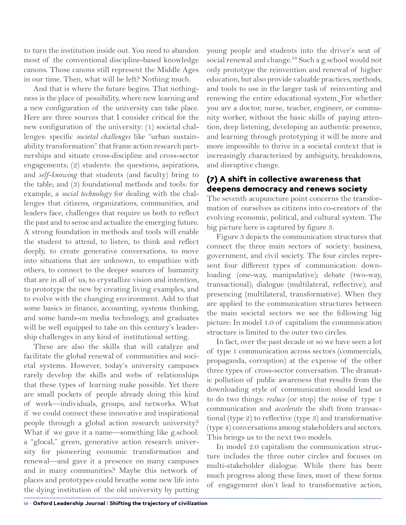to turn the institution inside out. You need to abandon most of the conventional discipline-based knowledge canons. Those canons still represent the Middle Ages in our time. Then, what will be left? Nothing much.

And that is where the future begins. That nothingness is the place of possibility, where new learning and a new configuration of the university can take place. Here are three sources that I consider critical for the new configuration of the university: (1) societal challenges: specific *societal challenges* like "urban sustainability transformation" that frame action research partnerships and situate cross-discipline and cross-sector engagements; (2) students: the questions, aspirations, and *self-knowing* that students (and faculty) bring to the table; and (3) foundational methods and tools: for example, a *social technology* for dealing with the challenges that citizens, organizations, communities, and leaders face, challenges that require us both to reflect the past and to sense and actualize the emerging future. A strong foundation in methods and tools will enable the student to attend, to listen, to think and reflect deeply, to create generative conversations, to move into situations that are unknown, to empathize with others, to connect to the deeper sources of humanity that are in all of us, to crystallize vision and intention, to prototype the new by creating living examples, and to evolve with the changing environment. Add to that some basics in finance, accounting, systems thinking, and some hands-on media technology, and graduates will be well equipped to take on this century's leadership challenges in any kind of institutional setting.

These are also the skills that will catalyze and facilitate the global renewal of communities and societal systems. However, today's university campuses rarely develop the skills and webs of relationships that these types of learning make possible. Yet there are small pockets of people already doing this kind of work—individuals, groups, and networks. What if we could connect these innovative and inspirational people through a global action research university? What if we gave it a name—something like g.school: a "glocal," green, generative action research university for pioneering economic transformation and renewal—and gave it a presence on many campuses and in many communities? Maybe this network of places and prototypes could breathe some new life into the dying institution of the old university by putting young people and students into the driver's seat of social renewal and change.<sup>34</sup> Such a g.school would not only prototype the reinvention and renewal of higher education, but also provide valuable practices, methods, and tools to use in the larger task of reinventing and renewing the entire educational system. For whether you are a doctor, nurse, teacher, engineer, or community worker, without the basic skills of paying attention, deep listening, developing an authentic presence, and learning through prototyping it will be more and more impossible to thrive in a societal context that is increasingly characterized by ambiguity, breakdowns, and disruptive change.

## (7) A shift in collective awareness that deepens democracy and renews society

The seventh acupuncture point concerns the transformation of ourselves as citizens into co-creators of the evolving economic, political, and cultural system. The big picture here is captured by figure 3.

Figure 3 depicts the communication structures that connect the three main sectors of society: business, government, and civil society. The four circles represent four different types of communication: downloading (one-way, manipulative); debate (two-way, transactional); dialogue (multilateral, reflective); and presencing (multilateral, transformative). When they are applied to the communication structures between the main societal sectors we see the following big picture: In model 1.0 of capitalism the communication structure is limited to the outer two circles.

In fact, over the past decade or so we have seen a lot of type 1 communication across sectors (commercials, propaganda, corruption) at the expense of the other three types of cross-sector conversation. The dramatic pollution of public awareness that results from the downloading style of communication should lead us to do two things: *reduce* (or stop) the noise of type 1 communication and *accelerate* the shift from transactional (type 2) to reflective (type 3) and transformative (type 4) conversations among stakeholders and sectors. This brings us to the next two models.

In model 2.0 capitalism the communication structure includes the three outer circles and focuses on multi-stakeholder dialogue. While there has been much progress along these lines, most of these forms of engagement don't lead to transformative action,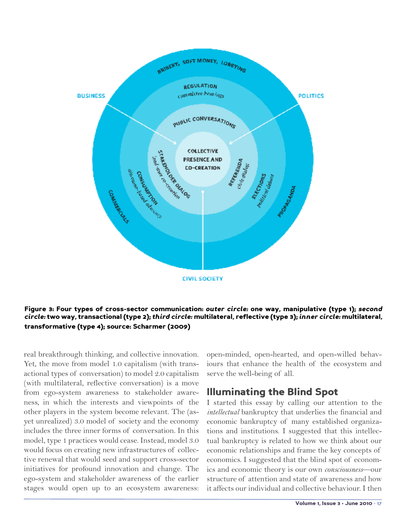

#### Figure 3: Four types of cross-sector communication: *outer circle:* one way, manipulative (type 1); *second circle:* two way, transactional (type 2); *third circle:* multilateral, reflective (type 3); *inner circle:* multilateral, transformative (type 4); source: Scharmer (2009)

real breakthrough thinking, and collective innovation. Yet, the move from model 1.0 capitalism (with transactional types of conversation) to model 2.0 capitalism (with multilateral, reflective conversation) is a move from ego-system awareness to stakeholder awareness, in which the interests and viewpoints of the other players in the system become relevant. The (asyet unrealized) 3.0 model of society and the economy includes the three inner forms of conversation. In this model, type 1 practices would cease. Instead, model 3.0 would focus on creating new infrastructures of collective renewal that would seed and support cross-sector initiatives for profound innovation and change. The ego-system and stakeholder awareness of the earlier stages would open up to an ecosystem awareness:

open-minded, open-hearted, and open-willed behaviours that enhance the health of the ecosystem and serve the well-being of all.

## Illuminating the Blind Spot

I started this essay by calling our attention to the *intellectual* bankruptcy that underlies the financial and economic bankruptcy of many established organizations and institutions. I suggested that this intellectual bankruptcy is related to how we think about our economic relationships and frame the key concepts of economics. I suggested that the blind spot of economics and economic theory is our own *consciousness*—our structure of attention and state of awareness and how it affects our individual and collective behaviour. I then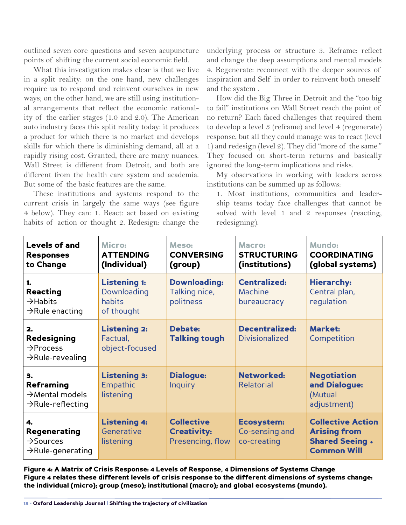outlined seven core questions and seven acupuncture points of shifting the current social economic field.

What this investigation makes clear is that we live in a split reality: on the one hand, new challenges require us to respond and reinvent ourselves in new ways; on the other hand, we are still using institutional arrangements that reflect the economic rationality of the earlier stages (1.0 and 2.0). The American auto industry faces this split reality today: it produces a product for which there is no market and develops skills for which there is diminishing demand, all at a rapidly rising cost. Granted, there are many nuances. Wall Street is different from Detroit, and both are different from the health care system and academia. But some of the basic features are the same.

These institutions and systems respond to the current crisis in largely the same ways (see figure 4 below). They can: 1. React: act based on existing habits of action or thought 2. Redesign: change the

underlying process or structure 3. Reframe: reflect and change the deep assumptions and mental models 4. Regenerate: reconnect with the deeper sources of inspiration and Self in order to reinvent both oneself and the system .

How did the Big Three in Detroit and the "too big to fail" institutions on Wall Street reach the point of no return? Each faced challenges that required them to develop a level 3 (reframe) and level 4 (regenerate) response, but all they could manage was to react (level 1) and redesign (level 2). They did "more of the same." They focused on short-term returns and basically ignored the long-term implications and risks.

My observations in working with leaders across institutions can be summed up as follows:

1. Most institutions, communities and leadership teams today face challenges that cannot be solved with level 1 and 2 responses (reacting, redesigning).

| <b>Levels of and</b><br><b>Responses</b><br>to Change                               | Micro:<br><b>ATTENDING</b><br>(Individual)                 | Meso:<br><b>CONVERSING</b><br>(group)                       | Macro:<br><b>STRUCTURING</b><br>(institutions)     | <b>Mundo:</b><br><b>COORDINATING</b><br>(global systems)                                        |
|-------------------------------------------------------------------------------------|------------------------------------------------------------|-------------------------------------------------------------|----------------------------------------------------|-------------------------------------------------------------------------------------------------|
| 1.<br>Reacting<br>$\rightarrow$ Habits<br>$\rightarrow$ Rule enacting               | <b>Listening 1:</b><br>Downloading<br>habits<br>of thought | <b>Downloading:</b><br>Talking nice,<br>politness           | <b>Centralized:</b><br>Machine<br>bureaucracy      | <b>Hierarchy:</b><br>Central plan,<br>regulation                                                |
| 2.<br>Redesigning<br>$\rightarrow$ Process<br>$\rightarrow$ Rule-revealing          | <b>Listening 2:</b><br>Factual,<br>object-focused          | <b>Debate:</b><br><b>Talking tough</b>                      | <b>Decentralized:</b><br><b>Divisionalized</b>     | <b>Market:</b><br>Competition                                                                   |
| 3.<br>Reframing<br>$\rightarrow$ Mental models<br>$\rightarrow$ Rule-reflecting     | <b>Listening 3:</b><br>Empathic<br>listening               | Dialogue:<br><b>Inquiry</b>                                 | Networked:<br>Relatorial                           | <b>Negotiation</b><br>and Dialogue:<br>(Mutual<br>adjustment)                                   |
| 4.<br><b>Regenerating</b><br>$\rightarrow$ Sources<br>$\rightarrow$ Rule-generating | <b>Listening 4:</b><br>Generative<br>listening             | <b>Collective</b><br><b>Creativity:</b><br>Presencing, flow | <b>Ecosystem:</b><br>Co-sensing and<br>co-creating | <b>Collective Action</b><br><b>Arising from</b><br><b>Shared Seeing +</b><br><b>Common Will</b> |

Figure 4: A Matrix of Crisis Response: 4 Levels of Response, 4 Dimensions of Systems Change Figure 4 relates these different levels of crisis response to the different dimensions of systems change: the individual (micro); group (meso); institutional (macro); and global ecosystems (mundo).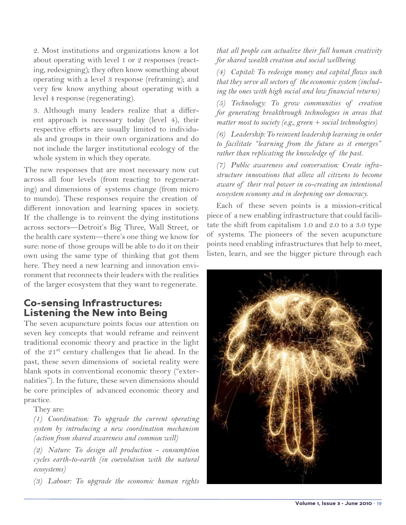2. Most institutions and organizations know a lot about operating with level 1 or 2 responses (reacting, redesigning); they often know something about operating with a level 3 response (reframing); and very few know anything about operating with a level 4 response (regenerating).

3. Although many leaders realize that a different approach is necessary today (level 4), their respective efforts are usually limited to individuals and groups in their own organizations and do not include the larger institutional ecology of the whole system in which they operate.

The new responses that are most necessary now cut across all four levels (from reacting to regenerating) and dimensions of systems change (from micro to mundo). These responses require the creation of different innovation and learning spaces in society. If the challenge is to reinvent the dying institutions across sectors—Detroit's Big Three, Wall Street, or the health care system—there's one thing we know for sure: none of those groups will be able to do it on their own using the same type of thinking that got them here. They need a new learning and innovation environment that reconnects their leaders with the realities of the larger ecosystem that they want to regenerate.

## Co-sensing Infrastructures: Listening the New into Being

The seven acupuncture points focus our attention on seven key concepts that would reframe and reinvent traditional economic theory and practice in the light of the  $21^{st}$  century challenges that lie ahead. In the past, these seven dimensions of societal reality were blank spots in conventional economic theory ("externalities"). In the future, these seven dimensions should be core principles of advanced economic theory and practice.

They are:

*(1) Coordination: To upgrade the current operating system by introducing a new coordination mechanism (action from shared awareness and common will)* 

*(2) Nature: To design all production - consumption cycles earth-to-earth (in coevolution with the natural ecosystems)* 

*(3) Labour: To upgrade the economic human rights* 

*that all people can actualize their full human creativity for shared wealth creation and social wellbeing.*

*(4) Capital: To redesign money and capital flows such that they serve all sectors of the economic system (including the ones with high social and low financial returns)* 

*(5) Technology: To grow communities of creation for generating breakthrough technologies in areas that matter most to society (e.g., green + social technologies)* 

*(6) Leadership: To reinvent leadership learning in order to facilitate "learning from the future as it emerges" rather than replicating the knowledge of the past.* 

*(7) Public awareness and conversation: Create infrastructure innovations that allow all citizens to become aware of their real power in co-creating an intentional ecosystem economy and in deepening our democracy.*

Each of these seven points is a mission-critical piece of a new enabling infrastructure that could facilitate the shift from capitalism 1.0 and 2.0 to a 3.0 type of systems. The pioneers of the seven acupuncture points need enabling infrastructures that help to meet, listen, learn, and see the bigger picture through each

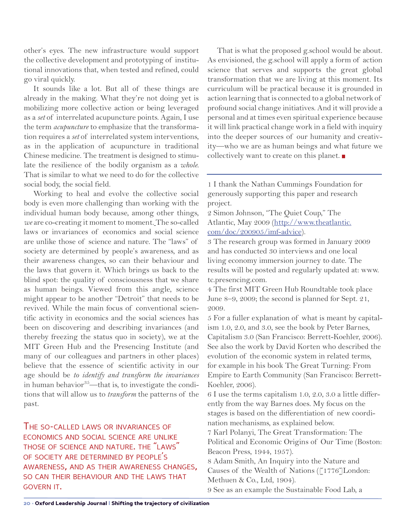other's eyes. The new infrastructure would support the collective development and prototyping of institutional innovations that, when tested and refined, could go viral quickly.

It sounds like a lot. But all of these things are already in the making. What they're not doing yet is mobilizing more collective action or being leveraged as a *set* of interrelated acupuncture points. Again, I use the term *acupuncture* to emphasize that the transformation requires a *set* of interrelated system interventions, as in the application of acupuncture in traditional Chinese medicine. The treatment is designed to stimulate the resilience of the bodily organism as a *whole.*  That is similar to what we need to do for the collective social body, the social field.

Working to heal and evolve the collective social body is even more challenging than working with the individual human body because, among other things, *we* are co-creating it moment to moment. The so-called laws or invariances of economics and social science are unlike those of science and nature. The "laws" of society are determined by people's awareness, and as their awareness changes, so can their behaviour and the laws that govern it. Which brings us back to the blind spot: the quality of consciousness that we share as human beings. Viewed from this angle, science might appear to be another "Detroit" that needs to be revived. While the main focus of conventional scientific activity in economics and the social sciences has been on discovering and describing invariances (and thereby freezing the status quo in society), we at the MIT Green Hub and the Presencing Institute (and many of our colleagues and partners in other places) believe that the essence of scientific activity in our age should be *to identify and transform the invariances* in human behavior $35$ —that is, to investigate the conditions that will allow us to *transform* the patterns of the past.

The so-called laws or invariances of economics and social science are unlike those of science and nature. the "laws" of society are determined by people's awareness, and as their awareness changes, so can their behaviour and the laws that govern it.

That is what the proposed g.school would be about. As envisioned, the g.school will apply a form of action science that serves and supports the great global transformation that we are living at this moment. Its curriculum will be practical because it is grounded in action learning that is connected to a global network of profound social change initiatives. And it will provide a personal and at times even spiritual experience because it will link practical change work in a field with inquiry into the deeper sources of our humanity and creativity—who we are as human beings and what future we collectively want to create on this planet.

1 I thank the Nathan Cummings Foundation for generously supporting this paper and research project.

2 Simon Johnson, "The Quiet Coup," The Atlantic, May 2009 ([http://www.theatlantic.](http://www.theatlantic.com/doc/200905/imf-advice) [com/doc/200905/imf-advice\)](http://www.theatlantic.com/doc/200905/imf-advice).

3 The research group was formed in January 2009 and has conducted 30 interviews and one local living economy immersion journey to date. The results will be posted and regularly updated at: [www.](http://www.tc.presencing.com) [tc.presencing.com](http://www.tc.presencing.com).

4 The first MIT Green Hub Roundtable took place June 8–9, 2009; the second is planned for Sept. 21, 2009.

5 For a fuller explanation of what is meant by capitalism 1.0, 2.0, and 3.0, see the book by Peter Barnes, Capitalism 3.0 (San Francisco: Berrett-Koehler, 2006). See also the work by David Korten who described the evolution of the economic system in related terms, for example in his book The Great Turning: From Empire to Earth Community (San Francisco: Berrett-Koehler, 2006).

6 I use the terms capitalism 1.0, 2.0, 3.0 a little differently from the way Barnes does. My focus on the stages is based on the differentiation of new coordination mechanisms, as explained below.

7 Karl Polanyi, The Great Transformation: The Political and Economic Origins of Our Time (Boston: Beacon Press, 1944, 1957).

8 Adam Smith, An Inquiry into the Nature and Causes of the Wealth of Nations ([1776]London: Methuen & Co., Ltd, 1904).

9 See as an example the Sustainable Food Lab, a